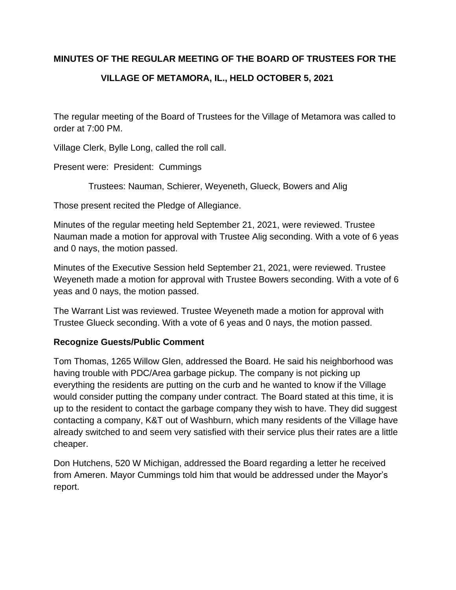## **MINUTES OF THE REGULAR MEETING OF THE BOARD OF TRUSTEES FOR THE**

# **VILLAGE OF METAMORA, IL., HELD OCTOBER 5, 2021**

The regular meeting of the Board of Trustees for the Village of Metamora was called to order at 7:00 PM.

Village Clerk, Bylle Long, called the roll call.

Present were: President: Cummings

Trustees: Nauman, Schierer, Weyeneth, Glueck, Bowers and Alig

Those present recited the Pledge of Allegiance.

Minutes of the regular meeting held September 21, 2021, were reviewed. Trustee Nauman made a motion for approval with Trustee Alig seconding. With a vote of 6 yeas and 0 nays, the motion passed.

Minutes of the Executive Session held September 21, 2021, were reviewed. Trustee Weyeneth made a motion for approval with Trustee Bowers seconding. With a vote of 6 yeas and 0 nays, the motion passed.

The Warrant List was reviewed. Trustee Weyeneth made a motion for approval with Trustee Glueck seconding. With a vote of 6 yeas and 0 nays, the motion passed.

# **Recognize Guests/Public Comment**

Tom Thomas, 1265 Willow Glen, addressed the Board. He said his neighborhood was having trouble with PDC/Area garbage pickup. The company is not picking up everything the residents are putting on the curb and he wanted to know if the Village would consider putting the company under contract. The Board stated at this time, it is up to the resident to contact the garbage company they wish to have. They did suggest contacting a company, K&T out of Washburn, which many residents of the Village have already switched to and seem very satisfied with their service plus their rates are a little cheaper.

Don Hutchens, 520 W Michigan, addressed the Board regarding a letter he received from Ameren. Mayor Cummings told him that would be addressed under the Mayor's report.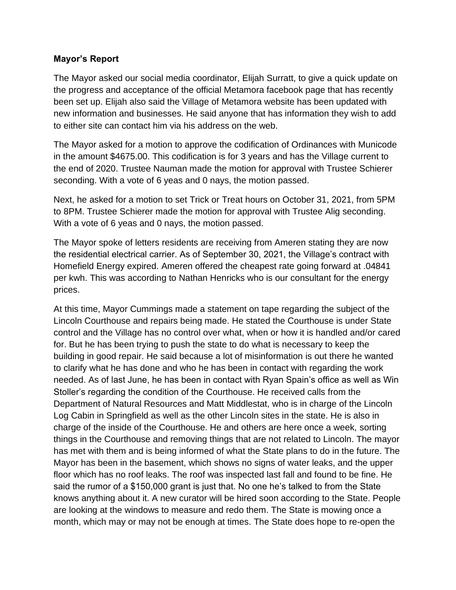#### **Mayor's Report**

The Mayor asked our social media coordinator, Elijah Surratt, to give a quick update on the progress and acceptance of the official Metamora facebook page that has recently been set up. Elijah also said the Village of Metamora website has been updated with new information and businesses. He said anyone that has information they wish to add to either site can contact him via his address on the web.

The Mayor asked for a motion to approve the codification of Ordinances with Municode in the amount \$4675.00. This codification is for 3 years and has the Village current to the end of 2020. Trustee Nauman made the motion for approval with Trustee Schierer seconding. With a vote of 6 yeas and 0 nays, the motion passed.

Next, he asked for a motion to set Trick or Treat hours on October 31, 2021, from 5PM to 8PM. Trustee Schierer made the motion for approval with Trustee Alig seconding. With a vote of 6 yeas and 0 nays, the motion passed.

The Mayor spoke of letters residents are receiving from Ameren stating they are now the residential electrical carrier. As of September 30, 2021, the Village's contract with Homefield Energy expired. Ameren offered the cheapest rate going forward at .04841 per kwh. This was according to Nathan Henricks who is our consultant for the energy prices.

At this time, Mayor Cummings made a statement on tape regarding the subject of the Lincoln Courthouse and repairs being made. He stated the Courthouse is under State control and the Village has no control over what, when or how it is handled and/or cared for. But he has been trying to push the state to do what is necessary to keep the building in good repair. He said because a lot of misinformation is out there he wanted to clarify what he has done and who he has been in contact with regarding the work needed. As of last June, he has been in contact with Ryan Spain's office as well as Win Stoller's regarding the condition of the Courthouse. He received calls from the Department of Natural Resources and Matt Middlestat, who is in charge of the Lincoln Log Cabin in Springfield as well as the other Lincoln sites in the state. He is also in charge of the inside of the Courthouse. He and others are here once a week, sorting things in the Courthouse and removing things that are not related to Lincoln. The mayor has met with them and is being informed of what the State plans to do in the future. The Mayor has been in the basement, which shows no signs of water leaks, and the upper floor which has no roof leaks. The roof was inspected last fall and found to be fine. He said the rumor of a \$150,000 grant is just that. No one he's talked to from the State knows anything about it. A new curator will be hired soon according to the State. People are looking at the windows to measure and redo them. The State is mowing once a month, which may or may not be enough at times. The State does hope to re-open the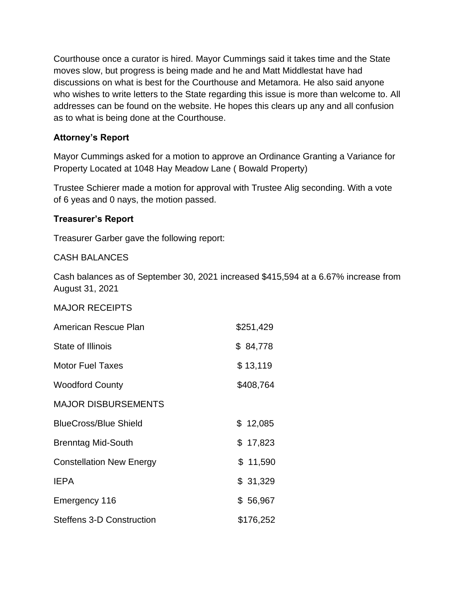Courthouse once a curator is hired. Mayor Cummings said it takes time and the State moves slow, but progress is being made and he and Matt Middlestat have had discussions on what is best for the Courthouse and Metamora. He also said anyone who wishes to write letters to the State regarding this issue is more than welcome to. All addresses can be found on the website. He hopes this clears up any and all confusion as to what is being done at the Courthouse.

## **Attorney's Report**

Mayor Cummings asked for a motion to approve an Ordinance Granting a Variance for Property Located at 1048 Hay Meadow Lane ( Bowald Property)

Trustee Schierer made a motion for approval with Trustee Alig seconding. With a vote of 6 yeas and 0 nays, the motion passed.

## **Treasurer's Report**

Treasurer Garber gave the following report:

## CASH BALANCES

Cash balances as of September 30, 2021 increased \$415,594 at a 6.67% increase from August 31, 2021

#### MAJOR RECEIPTS

| American Rescue Plan             | \$251,429 |
|----------------------------------|-----------|
| <b>State of Illinois</b>         | \$84,778  |
| Motor Fuel Taxes                 | \$13,119  |
| <b>Woodford County</b>           | \$408,764 |
| <b>MAJOR DISBURSEMENTS</b>       |           |
| <b>BlueCross/Blue Shield</b>     | \$12,085  |
| <b>Brenntag Mid-South</b>        | \$17,823  |
| <b>Constellation New Energy</b>  | \$11,590  |
| <b>IEPA</b>                      | \$31,329  |
| Emergency 116                    | \$56,967  |
| <b>Steffens 3-D Construction</b> | \$176,252 |